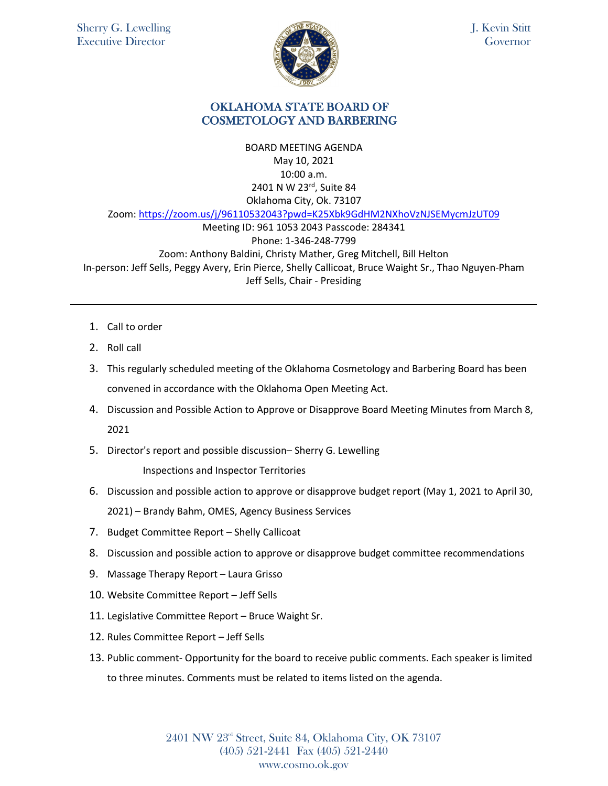

J. Kevin Stitt Governor

## OKLAHOMA STATE BOARD OF COSMETOLOGY AND BARBERING

BOARD MEETING AGENDA May 10, 2021 10:00 a.m. 2401 N W 23rd, Suite 84 Oklahoma City, Ok. 73107 Zoom: <https://zoom.us/j/96110532043?pwd=K25Xbk9GdHM2NXhoVzNJSEMycmJzUT09> Meeting ID: 961 1053 2043 Passcode: 284341 Phone: 1-346-248-7799 Zoom: Anthony Baldini, Christy Mather, Greg Mitchell, Bill Helton In-person: Jeff Sells, Peggy Avery, Erin Pierce, Shelly Callicoat, Bruce Waight Sr., Thao Nguyen-Pham Jeff Sells, Chair - Presiding

- 1. Call to order
- 2. Roll call
- 3. This regularly scheduled meeting of the Oklahoma Cosmetology and Barbering Board has been convened in accordance with the Oklahoma Open Meeting Act.
- 4. Discussion and Possible Action to Approve or Disapprove Board Meeting Minutes from March 8, 2021
- 5. Director's report and possible discussion– Sherry G. Lewelling

Inspections and Inspector Territories

- 6. Discussion and possible action to approve or disapprove budget report (May 1, 2021 to April 30, 2021) – Brandy Bahm, OMES, Agency Business Services
- 7. Budget Committee Report Shelly Callicoat
- 8. Discussion and possible action to approve or disapprove budget committee recommendations
- 9. Massage Therapy Report Laura Grisso
- 10. Website Committee Report Jeff Sells
- 11. Legislative Committee Report Bruce Waight Sr.
- 12. Rules Committee Report Jeff Sells
- 13. Public comment- Opportunity for the board to receive public comments. Each speaker is limited to three minutes. Comments must be related to items listed on the agenda.

2401 NW 23rd Street, Suite 84, Oklahoma City, OK 73107 (405) 521-2441 Fax (405) 521-2440 www.cosmo.ok.gov